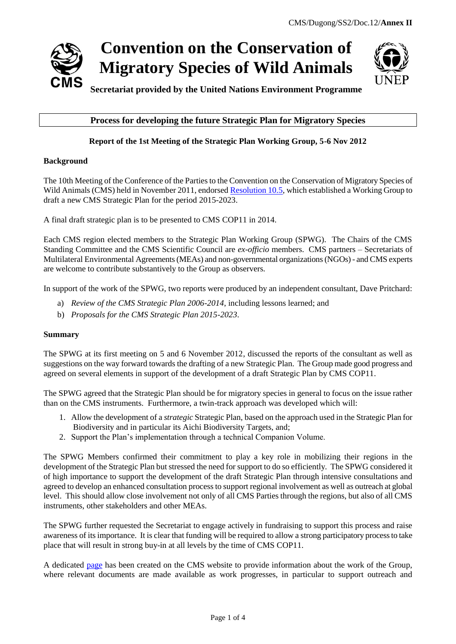



# **Process for developing the future Strategic Plan for Migratory Species**

# **Report of the 1st Meeting of the Strategic Plan Working Group, 5-6 Nov 2012**

### **Background**

The 10th Meeting of the Conference of the Parties to the Convention on the Conservation of Migratory Species of Wild Animals (CMS) held in November 2011, endorse[d Resolution 10.5,](http://www.cms.int/bodies/COP/cop10/resolutions_adopted/10_05_strategic_plan_e.pdf) which established a Working Group to draft a new CMS Strategic Plan for the period 2015-2023.

A final draft strategic plan is to be presented to CMS COP11 in 2014.

Each CMS region elected members to the Strategic Plan Working Group (SPWG). The Chairs of the CMS Standing Committee and the CMS Scientific Council are *ex-officio* members. CMS partners – Secretariats of Multilateral Environmental Agreements (MEAs) and non-governmental organizations (NGOs) - and CMS experts are welcome to contribute substantively to the Group as observers.

In support of the work of the SPWG, two reports were produced by an independent consultant, Dave Pritchard:

- a) *Review of the CMS Strategic Plan 2006-2014*, including lessons learned; and
- b) *Proposals for the CMS Strategic Plan 2015-2023*.

### **Summary**

The SPWG at its first meeting on 5 and 6 November 2012, discussed the reports of the consultant as well as suggestions on the way forward towards the drafting of a new Strategic Plan. The Group made good progress and agreed on several elements in support of the development of a draft Strategic Plan by CMS COP11.

The SPWG agreed that the Strategic Plan should be for migratory species in general to focus on the issue rather than on the CMS instruments. Furthermore, a twin-track approach was developed which will:

- 1. Allow the development of a *strategic* Strategic Plan, based on the approach used in the Strategic Plan for Biodiversity and in particular its Aichi Biodiversity Targets, and;
- 2. Support the Plan's implementation through a technical Companion Volume.

The SPWG Members confirmed their commitment to play a key role in mobilizing their regions in the development of the Strategic Plan but stressed the need for support to do so efficiently. The SPWG considered it of high importance to support the development of the draft Strategic Plan through intensive consultations and agreed to develop an enhanced consultation process to support regional involvement as well as outreach at global level. This should allow close involvement not only of all CMS Parties through the regions, but also of all CMS instruments, other stakeholders and other MEAs.

The SPWG further requested the Secretariat to engage actively in fundraising to support this process and raise awareness of its importance. It is clear that funding will be required to allow a strong participatory process to take place that will result in strong buy-in at all levels by the time of CMS COP11.

A dedicated [page](http://www.cms.int/bodies/StC/strategic_plan_2015_2023_wg/strpln_wg_mainpage.htm) has been created on the CMS website to provide information about the work of the Group, where relevant documents are made available as work progresses, in particular to support outreach and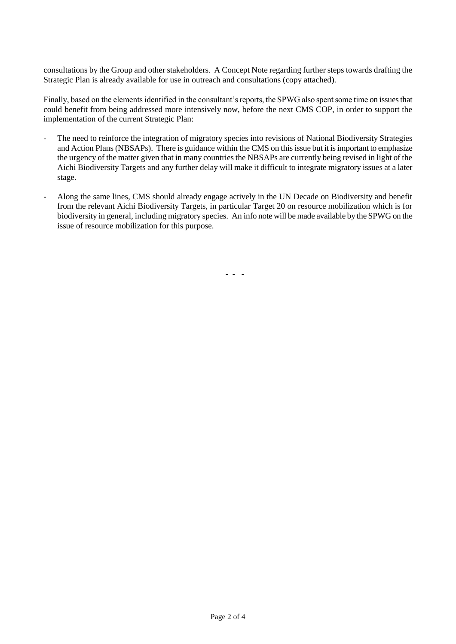consultations by the Group and other stakeholders. A Concept Note regarding further steps towards drafting the Strategic Plan is already available for use in outreach and consultations (copy attached).

Finally, based on the elements identified in the consultant's reports, the SPWG also spent some time on issues that could benefit from being addressed more intensively now, before the next CMS COP, in order to support the implementation of the current Strategic Plan:

- The need to reinforce the integration of migratory species into revisions of National Biodiversity Strategies and Action Plans (NBSAPs). There is guidance within the CMS on this issue but it is important to emphasize the urgency of the matter given that in many countries the NBSAPs are currently being revised in light of the Aichi Biodiversity Targets and any further delay will make it difficult to integrate migratory issues at a later stage.
- Along the same lines, CMS should already engage actively in the UN Decade on Biodiversity and benefit from the relevant Aichi Biodiversity Targets, in particular Target 20 on resource mobilization which is for biodiversity in general, including migratory species. An info note will be made available by the SPWG on the issue of resource mobilization for this purpose.

- - -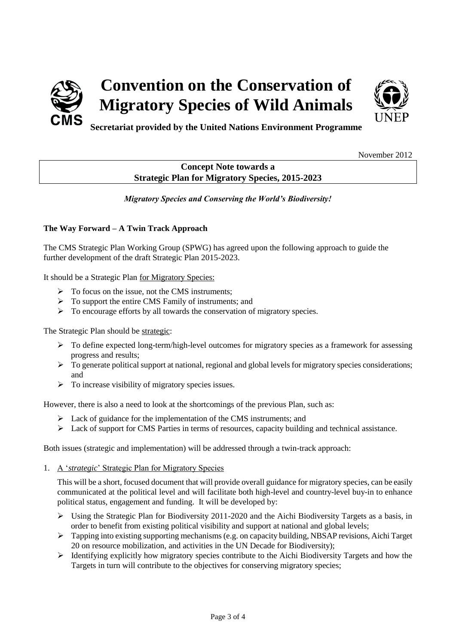



**Secretariat provided by the United Nations Environment Programme**

November 2012

# **Concept Note towards a Strategic Plan for Migratory Species, 2015-2023**

*Migratory Species and Conserving the World's Biodiversity!*

## **The Way Forward – A Twin Track Approach**

The CMS Strategic Plan Working Group (SPWG) has agreed upon the following approach to guide the further development of the draft Strategic Plan 2015-2023.

It should be a Strategic Plan for Migratory Species:

- $\triangleright$  To focus on the issue, not the CMS instruments:
- > To support the entire CMS Family of instruments; and
- $\triangleright$  To encourage efforts by all towards the conservation of migratory species.

The Strategic Plan should be strategic:

- $\triangleright$  To define expected long-term/high-level outcomes for migratory species as a framework for assessing progress and results;
- $\triangleright$  To generate political support at national, regional and global levels for migratory species considerations; and
- $\triangleright$  To increase visibility of migratory species issues.

However, there is also a need to look at the shortcomings of the previous Plan, such as:

- $\triangleright$  Lack of guidance for the implementation of the CMS instruments; and
- Lack of support for CMS Parties in terms of resources, capacity building and technical assistance.

Both issues (strategic and implementation) will be addressed through a twin-track approach:

1. A '*strategic*' Strategic Plan for Migratory Species

This will be a short, focused document that will provide overall guidance for migratory species, can be easily communicated at the political level and will facilitate both high-level and country-level buy-in to enhance political status, engagement and funding. It will be developed by:

- $\triangleright$  Using the Strategic Plan for Biodiversity 2011-2020 and the Aichi Biodiversity Targets as a basis, in order to benefit from existing political visibility and support at national and global levels;
- $\triangleright$  Tapping into existing supporting mechanisms (e.g. on capacity building, NBSAP revisions, Aichi Target 20 on resource mobilization, and activities in the UN Decade for Biodiversity);
- $\triangleright$  Identifying explicitly how migratory species contribute to the Aichi Biodiversity Targets and how the Targets in turn will contribute to the objectives for conserving migratory species;